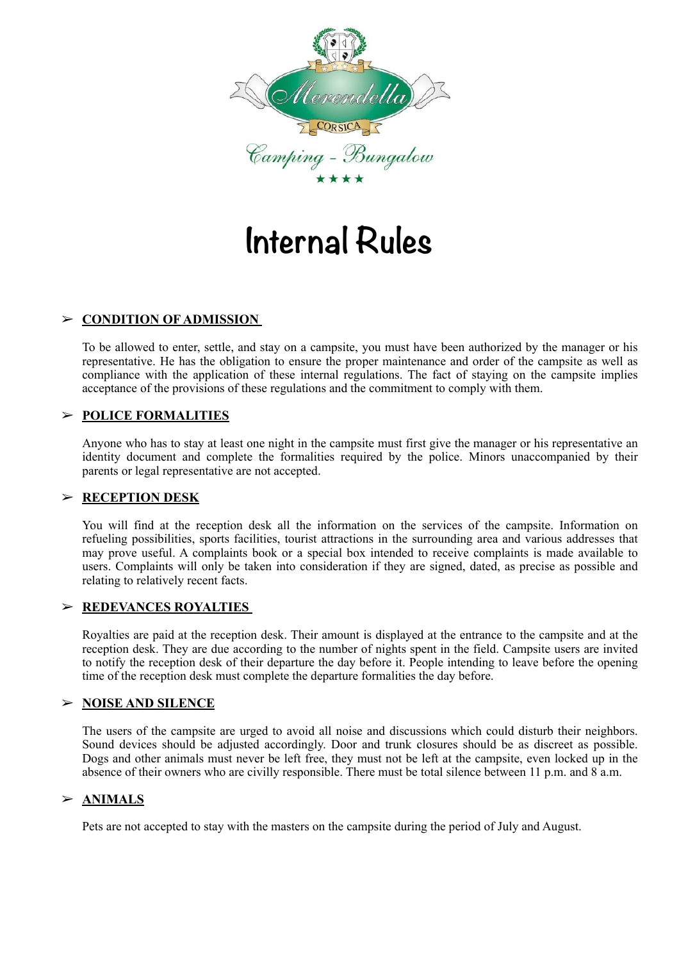

# **Internal Rules**

## ➢ **CONDITION OF ADMISSION**

To be allowed to enter, settle, and stay on a campsite, you must have been authorized by the manager or his representative. He has the obligation to ensure the proper maintenance and order of the campsite as well as compliance with the application of these internal regulations. The fact of staying on the campsite implies acceptance of the provisions of these regulations and the commitment to comply with them.

## ➢ **POLICE FORMALITIES**

Anyone who has to stay at least one night in the campsite must first give the manager or his representative an identity document and complete the formalities required by the police. Minors unaccompanied by their parents or legal representative are not accepted.

## ➢ **RECEPTION DESK**

You will find at the reception desk all the information on the services of the campsite. Information on refueling possibilities, sports facilities, tourist attractions in the surrounding area and various addresses that may prove useful. A complaints book or a special box intended to receive complaints is made available to users. Complaints will only be taken into consideration if they are signed, dated, as precise as possible and relating to relatively recent facts.

## ➢ **REDEVANCES ROYALTIES**

Royalties are paid at the reception desk. Their amount is displayed at the entrance to the campsite and at the reception desk. They are due according to the number of nights spent in the field. Campsite users are invited to notify the reception desk of their departure the day before it. People intending to leave before the opening time of the reception desk must complete the departure formalities the day before.

## ➢ **NOISE AND SILENCE**

The users of the campsite are urged to avoid all noise and discussions which could disturb their neighbors. Sound devices should be adjusted accordingly. Door and trunk closures should be as discreet as possible. Dogs and other animals must never be left free, they must not be left at the campsite, even locked up in the absence of their owners who are civilly responsible. There must be total silence between 11 p.m. and 8 a.m.

## ➢ **ANIMALS**

Pets are not accepted to stay with the masters on the campsite during the period of July and August.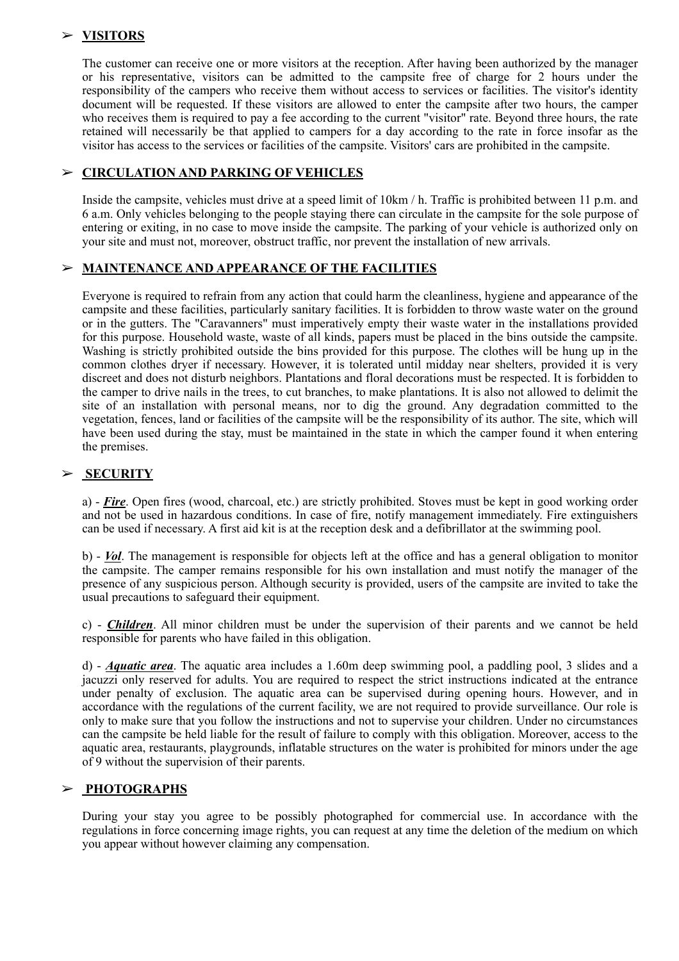## ➢ **VISITORS**

The customer can receive one or more visitors at the reception. After having been authorized by the manager or his representative, visitors can be admitted to the campsite free of charge for 2 hours under the responsibility of the campers who receive them without access to services or facilities. The visitor's identity document will be requested. If these visitors are allowed to enter the campsite after two hours, the camper who receives them is required to pay a fee according to the current "visitor" rate. Beyond three hours, the rate retained will necessarily be that applied to campers for a day according to the rate in force insofar as the visitor has access to the services or facilities of the campsite. Visitors' cars are prohibited in the campsite.

## ➢ **CIRCULATION AND PARKING OF VEHICLES**

Inside the campsite, vehicles must drive at a speed limit of 10km / h. Traffic is prohibited between 11 p.m. and 6 a.m. Only vehicles belonging to the people staying there can circulate in the campsite for the sole purpose of entering or exiting, in no case to move inside the campsite. The parking of your vehicle is authorized only on your site and must not, moreover, obstruct traffic, nor prevent the installation of new arrivals.

#### ➢ **MAINTENANCE AND APPEARANCE OF THE FACILITIES**

Everyone is required to refrain from any action that could harm the cleanliness, hygiene and appearance of the campsite and these facilities, particularly sanitary facilities. It is forbidden to throw waste water on the ground or in the gutters. The "Caravanners" must imperatively empty their waste water in the installations provided for this purpose. Household waste, waste of all kinds, papers must be placed in the bins outside the campsite. Washing is strictly prohibited outside the bins provided for this purpose. The clothes will be hung up in the common clothes dryer if necessary. However, it is tolerated until midday near shelters, provided it is very discreet and does not disturb neighbors. Plantations and floral decorations must be respected. It is forbidden to the camper to drive nails in the trees, to cut branches, to make plantations. It is also not allowed to delimit the site of an installation with personal means, nor to dig the ground. Any degradation committed to the vegetation, fences, land or facilities of the campsite will be the responsibility of its author. The site, which will have been used during the stay, must be maintained in the state in which the camper found it when entering the premises.

## ➢ **SECURITY**

a) - *Fire*. Open fires (wood, charcoal, etc.) are strictly prohibited. Stoves must be kept in good working order and not be used in hazardous conditions. In case of fire, notify management immediately. Fire extinguishers can be used if necessary. A first aid kit is at the reception desk and a defibrillator at the swimming pool.

b) - *Vol*. The management is responsible for objects left at the office and has a general obligation to monitor the campsite. The camper remains responsible for his own installation and must notify the manager of the presence of any suspicious person. Although security is provided, users of the campsite are invited to take the usual precautions to safeguard their equipment.

c) - *Children*. All minor children must be under the supervision of their parents and we cannot be held responsible for parents who have failed in this obligation.

d) - *Aquatic area*. The aquatic area includes a 1.60m deep swimming pool, a paddling pool, 3 slides and a jacuzzi only reserved for adults. You are required to respect the strict instructions indicated at the entrance under penalty of exclusion. The aquatic area can be supervised during opening hours. However, and in accordance with the regulations of the current facility, we are not required to provide surveillance. Our role is only to make sure that you follow the instructions and not to supervise your children. Under no circumstances can the campsite be held liable for the result of failure to comply with this obligation. Moreover, access to the aquatic area, restaurants, playgrounds, inflatable structures on the water is prohibited for minors under the age of 9 without the supervision of their parents.

## ➢ **PHOTOGRAPHS**

During your stay you agree to be possibly photographed for commercial use. In accordance with the regulations in force concerning image rights, you can request at any time the deletion of the medium on which you appear without however claiming any compensation.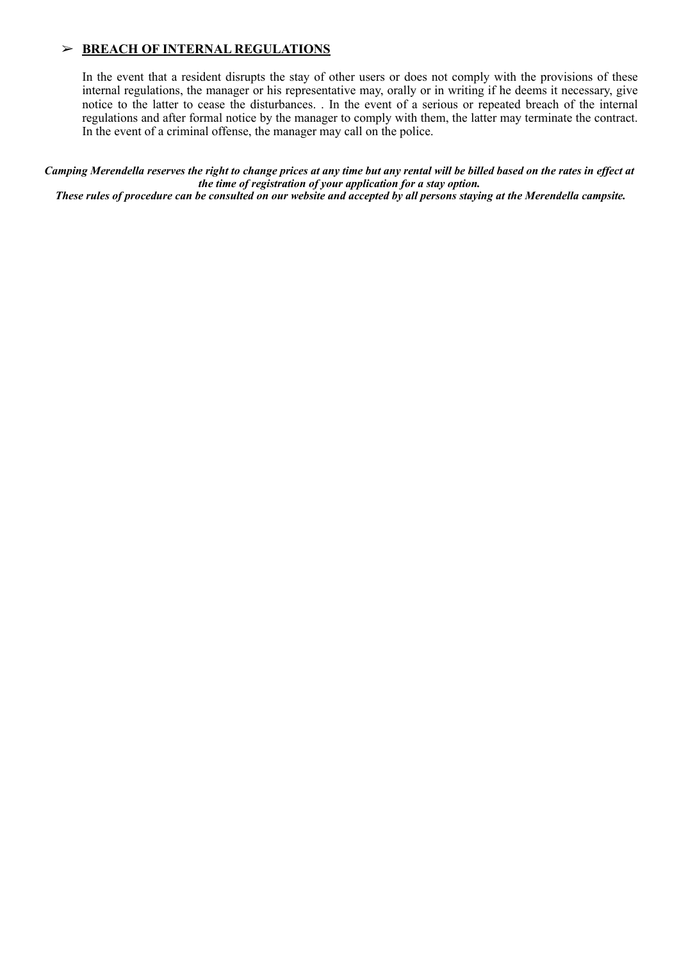## ➢ **BREACH OF INTERNAL REGULATIONS**

In the event that a resident disrupts the stay of other users or does not comply with the provisions of these internal regulations, the manager or his representative may, orally or in writing if he deems it necessary, give notice to the latter to cease the disturbances. . In the event of a serious or repeated breach of the internal regulations and after formal notice by the manager to comply with them, the latter may terminate the contract. In the event of a criminal offense, the manager may call on the police.

*Camping Merendella reserves the right to change prices at any time but any rental will be billed based on the rates in effect at the time of registration of your application for a stay option. These rules of procedure can be consulted on our website and accepted by all persons staying at the Merendella campsite.*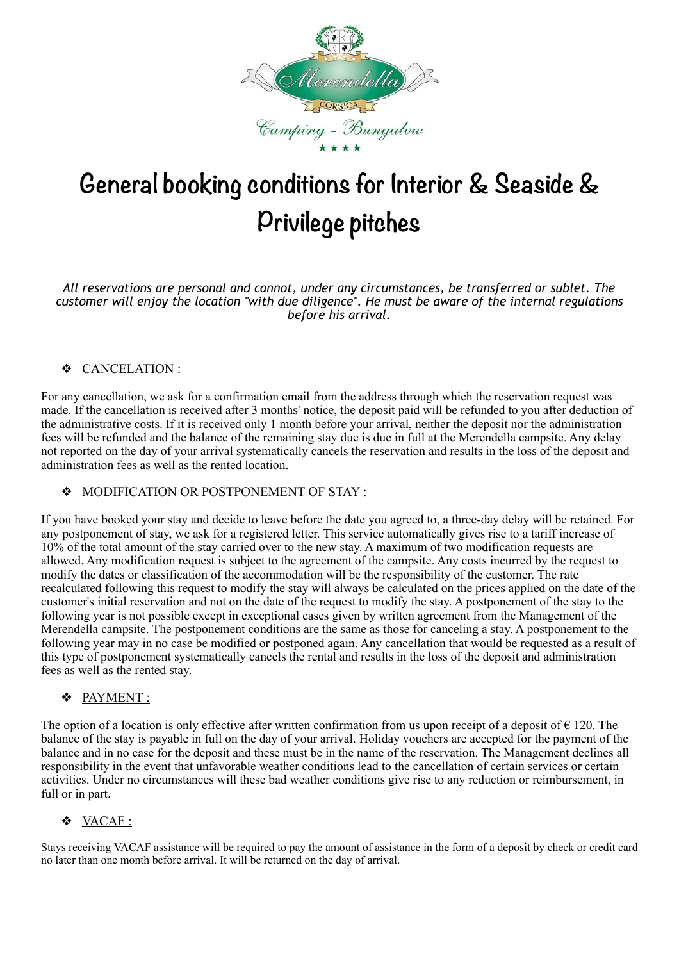

## **General booking conditions for Interior & Seaside & Privilege pitches**

*All reservations are personal and cannot, under any circumstances, be transferred or sublet. The customer will enjoy the location "with due diligence". He must be aware of the internal regulations before his arrival.* 

## ❖ CANCELATION :

For any cancellation, we ask for a confirmation email from the address through which the reservation request was made. If the cancellation is received after 3 months' notice, the deposit paid will be refunded to you after deduction of the administrative costs. If it is received only 1 month before your arrival, neither the deposit nor the administration fees will be refunded and the balance of the remaining stay due is due in full at the Merendella campsite. Any delay not reported on the day of your arrival systematically cancels the reservation and results in the loss of the deposit and administration fees as well as the rented location.

## ❖ MODIFICATION OR POSTPONEMENT OF STAY :

If you have booked your stay and decide to leave before the date you agreed to, a three-day delay will be retained. For any postponement of stay, we ask for a registered letter. This service automatically gives rise to a tariff increase of 10% of the total amount of the stay carried over to the new stay. A maximum of two modification requests are allowed. Any modification request is subject to the agreement of the campsite. Any costs incurred by the request to modify the dates or classification of the accommodation will be the responsibility of the customer. The rate recalculated following this request to modify the stay will always be calculated on the prices applied on the date of the customer's initial reservation and not on the date of the request to modify the stay. A postponement of the stay to the following year is not possible except in exceptional cases given by written agreement from the Management of the Merendella campsite. The postponement conditions are the same as those for canceling a stay. A postponement to the following year may in no case be modified or postponed again. Any cancellation that would be requested as a result of this type of postponement systematically cancels the rental and results in the loss of the deposit and administration fees as well as the rented stay.

## ❖ PAYMENT :

The option of a location is only effective after written confirmation from us upon receipt of a deposit of  $\epsilon$  120. The balance of the stay is payable in full on the day of your arrival. Holiday vouchers are accepted for the payment of the balance and in no case for the deposit and these must be in the name of the reservation. The Management declines all responsibility in the event that unfavorable weather conditions lead to the cancellation of certain services or certain activities. Under no circumstances will these bad weather conditions give rise to any reduction or reimbursement, in full or in part.

## ❖ VACAF :

Stays receiving VACAF assistance will be required to pay the amount of assistance in the form of a deposit by check or credit card no later than one month before arrival. It will be returned on the day of arrival.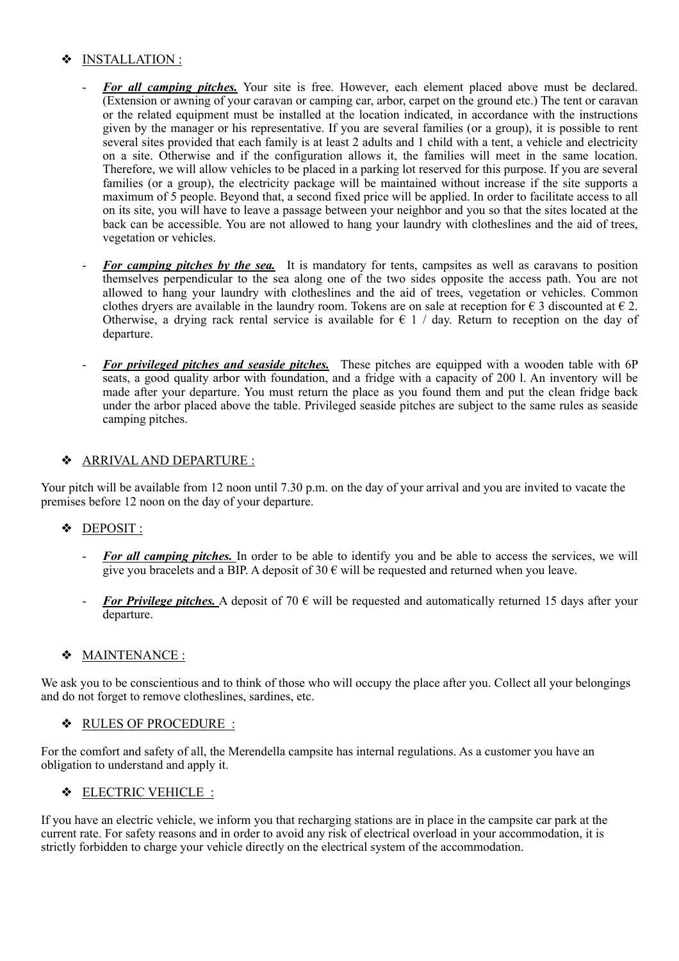## INSTALLATION :

- For all camping pitches. Your site is free. However, each element placed above must be declared. (Extension or awning of your caravan or camping car, arbor, carpet on the ground etc.) The tent or caravan or the related equipment must be installed at the location indicated, in accordance with the instructions given by the manager or his representative. If you are several families (or a group), it is possible to rent several sites provided that each family is at least 2 adults and 1 child with a tent, a vehicle and electricity on a site. Otherwise and if the configuration allows it, the families will meet in the same location. Therefore, we will allow vehicles to be placed in a parking lot reserved for this purpose. If you are several families (or a group), the electricity package will be maintained without increase if the site supports a maximum of 5 people. Beyond that, a second fixed price will be applied. In order to facilitate access to all on its site, you will have to leave a passage between your neighbor and you so that the sites located at the back can be accessible. You are not allowed to hang your laundry with clotheslines and the aid of trees, vegetation or vehicles.
- *For camping pitches by the sea.* It is mandatory for tents, campsites as well as caravans to position themselves perpendicular to the sea along one of the two sides opposite the access path. You are not allowed to hang your laundry with clotheslines and the aid of trees, vegetation or vehicles. Common clothes dryers are available in the laundry room. Tokens are on sale at reception for  $\epsilon$  3 discounted at  $\epsilon$  2. Otherwise, a drying rack rental service is available for  $\epsilon$  1 / day. Return to reception on the day of departure.
- *For privileged pitches and seaside pitches.* These pitches are equipped with a wooden table with 6P seats, a good quality arbor with foundation, and a fridge with a capacity of 200 l. An inventory will be made after your departure. You must return the place as you found them and put the clean fridge back under the arbor placed above the table. Privileged seaside pitches are subject to the same rules as seaside camping pitches.

## ❖ ARRIVAL AND DEPARTURE :

Your pitch will be available from 12 noon until 7.30 p.m. on the day of your arrival and you are invited to vacate the premises before 12 noon on the day of your departure.

## ❖ DEPOSIT :

- For all camping pitches. In order to be able to identify you and be able to access the services, we will give you bracelets and a BIP. A deposit of 30  $\epsilon$  will be requested and returned when you leave.
- *For Privilege pitches.* A deposit of 70  $\epsilon$  will be requested and automatically returned 15 days after your departure.

## ❖ MAINTENANCE :

We ask you to be conscientious and to think of those who will occupy the place after you. Collect all your belongings and do not forget to remove clotheslines, sardines, etc.

## ❖ RULES OF PROCEDURE :

For the comfort and safety of all, the Merendella campsite has internal regulations. As a customer you have an obligation to understand and apply it.

## ❖ ELECTRIC VEHICLE :

If you have an electric vehicle, we inform you that recharging stations are in place in the campsite car park at the current rate. For safety reasons and in order to avoid any risk of electrical overload in your accommodation, it is strictly forbidden to charge your vehicle directly on the electrical system of the accommodation.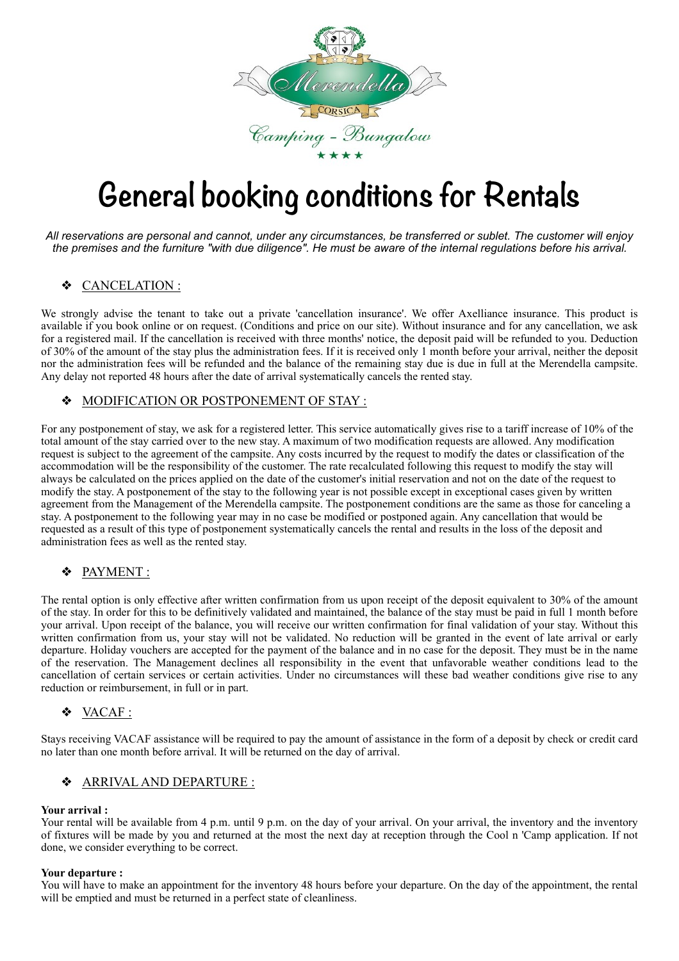

## **General booking conditions for Rentals**

*All reservations are personal and cannot, under any circumstances, be transferred or sublet. The customer will enjoy the premises and the furniture "with due diligence". He must be aware of the internal regulations before his arrival.* 

## ❖ CANCELATION :

We strongly advise the tenant to take out a private 'cancellation insurance'. We offer Axelliance insurance. This product is available if you book online or on request. (Conditions and price on our site). Without insurance and for any cancellation, we ask for a registered mail. If the cancellation is received with three months' notice, the deposit paid will be refunded to you. Deduction of 30% of the amount of the stay plus the administration fees. If it is received only 1 month before your arrival, neither the deposit nor the administration fees will be refunded and the balance of the remaining stay due is due in full at the Merendella campsite. Any delay not reported 48 hours after the date of arrival systematically cancels the rented stay.

## ❖ MODIFICATION OR POSTPONEMENT OF STAY :

For any postponement of stay, we ask for a registered letter. This service automatically gives rise to a tariff increase of 10% of the total amount of the stay carried over to the new stay. A maximum of two modification requests are allowed. Any modification request is subject to the agreement of the campsite. Any costs incurred by the request to modify the dates or classification of the accommodation will be the responsibility of the customer. The rate recalculated following this request to modify the stay will always be calculated on the prices applied on the date of the customer's initial reservation and not on the date of the request to modify the stay. A postponement of the stay to the following year is not possible except in exceptional cases given by written agreement from the Management of the Merendella campsite. The postponement conditions are the same as those for canceling a stay. A postponement to the following year may in no case be modified or postponed again. Any cancellation that would be requested as a result of this type of postponement systematically cancels the rental and results in the loss of the deposit and administration fees as well as the rented stay.

## ❖ PAYMENT :

The rental option is only effective after written confirmation from us upon receipt of the deposit equivalent to 30% of the amount of the stay. In order for this to be definitively validated and maintained, the balance of the stay must be paid in full 1 month before your arrival. Upon receipt of the balance, you will receive our written confirmation for final validation of your stay. Without this written confirmation from us, your stay will not be validated. No reduction will be granted in the event of late arrival or early departure. Holiday vouchers are accepted for the payment of the balance and in no case for the deposit. They must be in the name of the reservation. The Management declines all responsibility in the event that unfavorable weather conditions lead to the cancellation of certain services or certain activities. Under no circumstances will these bad weather conditions give rise to any reduction or reimbursement, in full or in part.

## ❖ VACAF :

Stays receiving VACAF assistance will be required to pay the amount of assistance in the form of a deposit by check or credit card no later than one month before arrival. It will be returned on the day of arrival.

## ❖ ARRIVAL AND DEPARTURE :

#### **Your arrival :**

Your rental will be available from 4 p.m. until 9 p.m. on the day of your arrival. On your arrival, the inventory and the inventory of fixtures will be made by you and returned at the most the next day at reception through the Cool n 'Camp application. If not done, we consider everything to be correct.

#### **Your departure :**

You will have to make an appointment for the inventory 48 hours before your departure. On the day of the appointment, the rental will be emptied and must be returned in a perfect state of cleanliness.